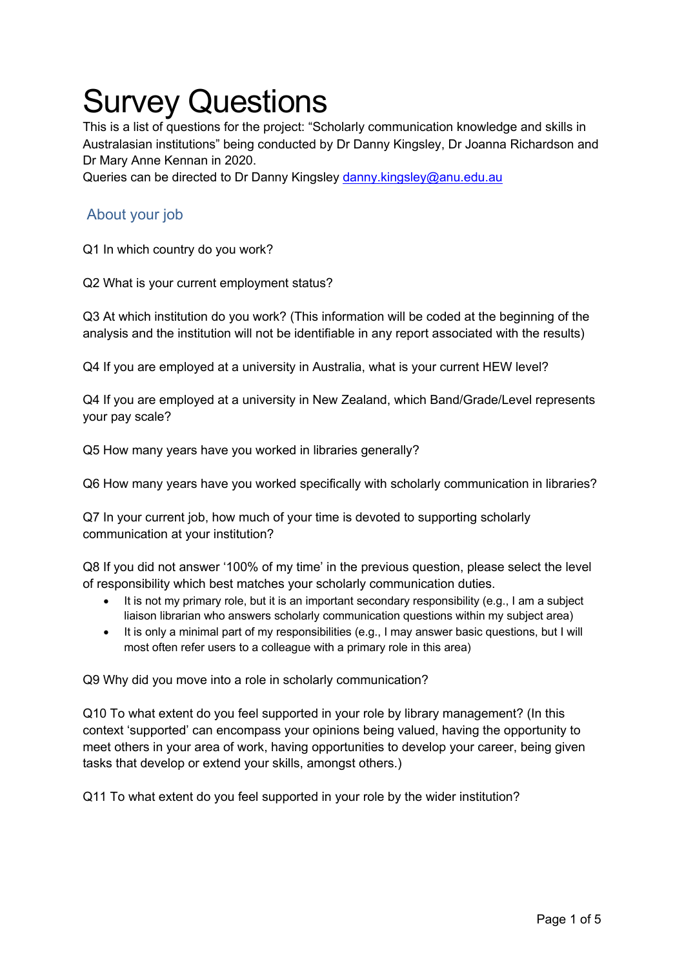## Survey Questions

This is a list of questions for the project: "Scholarly communication knowledge and skills in Australasian institutions" being conducted by Dr Danny Kingsley, Dr Joanna Richardson and Dr Mary Anne Kennan in 2020.

Queries can be directed to Dr Danny Kingsley danny.kingsley@anu.edu.au

## About your job

Q1 In which country do you work?

Q2 What is your current employment status?

Q3 At which institution do you work? (This information will be coded at the beginning of the analysis and the institution will not be identifiable in any report associated with the results)

Q4 If you are employed at a university in Australia, what is your current HEW level?

Q4 If you are employed at a university in New Zealand, which Band/Grade/Level represents your pay scale?

Q5 How many years have you worked in libraries generally?

Q6 How many years have you worked specifically with scholarly communication in libraries?

Q7 In your current job, how much of your time is devoted to supporting scholarly communication at your institution?

Q8 If you did not answer '100% of my time' in the previous question, please select the level of responsibility which best matches your scholarly communication duties.

- It is not my primary role, but it is an important secondary responsibility (e.g., I am a subject liaison librarian who answers scholarly communication questions within my subject area)
- It is only a minimal part of my responsibilities (e.g., I may answer basic questions, but I will most often refer users to a colleague with a primary role in this area)

Q9 Why did you move into a role in scholarly communication?

Q10 To what extent do you feel supported in your role by library management? (In this context 'supported' can encompass your opinions being valued, having the opportunity to meet others in your area of work, having opportunities to develop your career, being given tasks that develop or extend your skills, amongst others.)

Q11 To what extent do you feel supported in your role by the wider institution?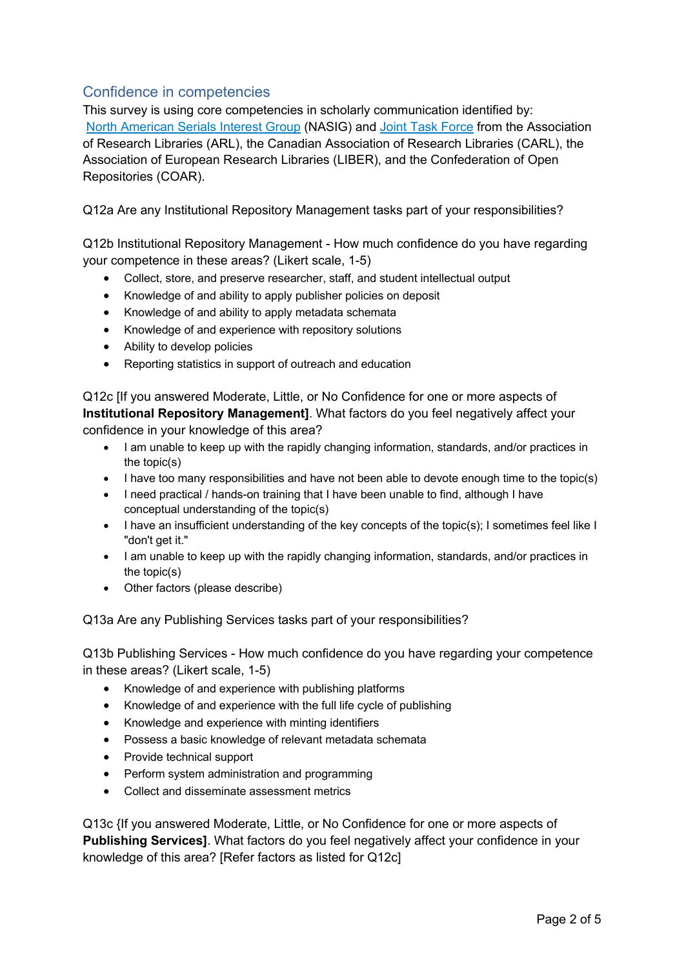## Confidence in competencies

This survey is using core competencies in scholarly communication identified by: North American Serials Interest Group (NASIG) and Joint Task Force from the Association of Research Libraries (ARL), the Canadian Association of Research Libraries (CARL), the Association of European Research Libraries (LIBER), and the Confederation of Open Repositories (COAR).

Q12a Are any Institutional Repository Management tasks part of your responsibilities?

Q12b Institutional Repository Management - How much confidence do you have regarding your competence in these areas? (Likert scale, 1-5)

- Collect, store, and preserve researcher, staff, and student intellectual output
- Knowledge of and ability to apply publisher policies on deposit
- Knowledge of and ability to apply metadata schemata
- Knowledge of and experience with repository solutions
- Ability to develop policies
- Reporting statistics in support of outreach and education

Q12c [If you answered Moderate, Little, or No Confidence for one or more aspects of **Institutional Repository Management]**. What factors do you feel negatively affect your confidence in your knowledge of this area?

- I am unable to keep up with the rapidly changing information, standards, and/or practices in the topic(s)
- I have too many responsibilities and have not been able to devote enough time to the topic(s)
- I need practical / hands-on training that I have been unable to find, although I have conceptual understanding of the topic(s)
- I have an insufficient understanding of the key concepts of the topic(s); I sometimes feel like I "don't get it."
- I am unable to keep up with the rapidly changing information, standards, and/or practices in the topic(s)
- Other factors (please describe)

Q13a Are any Publishing Services tasks part of your responsibilities?

Q13b Publishing Services - How much confidence do you have regarding your competence in these areas? (Likert scale, 1-5)

- Knowledge of and experience with publishing platforms
- Knowledge of and experience with the full life cycle of publishing
- Knowledge and experience with minting identifiers
- Possess a basic knowledge of relevant metadata schemata
- Provide technical support
- Perform system administration and programming
- Collect and disseminate assessment metrics

Q13c {If you answered Moderate, Little, or No Confidence for one or more aspects of **Publishing Services]**. What factors do you feel negatively affect your confidence in your knowledge of this area? [Refer factors as listed for Q12c]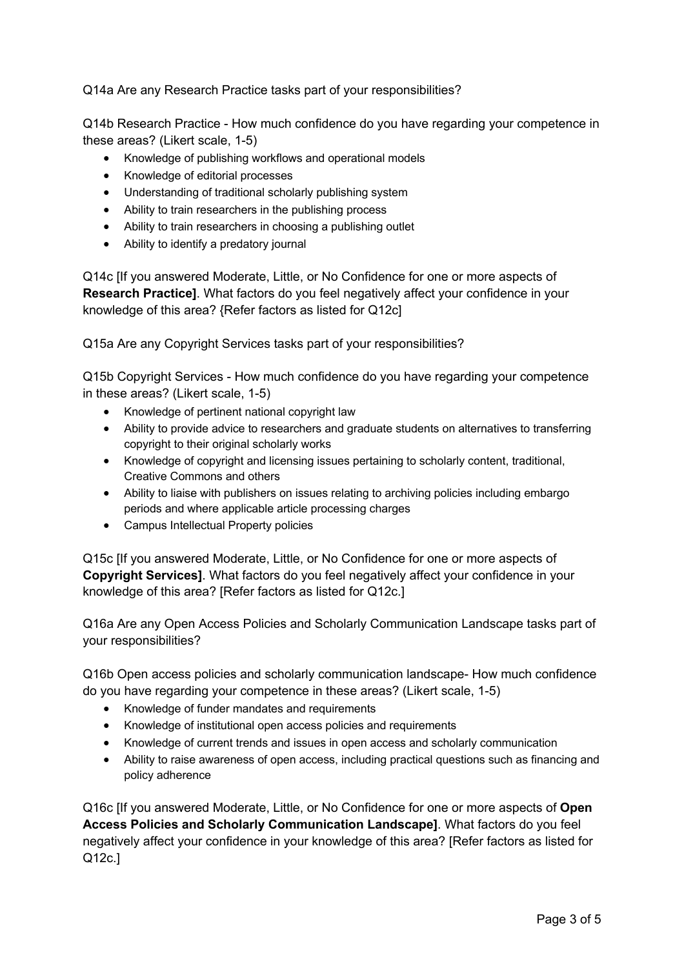Q14a Are any Research Practice tasks part of your responsibilities?

Q14b Research Practice - How much confidence do you have regarding your competence in these areas? (Likert scale, 1-5)

- Knowledge of publishing workflows and operational models
- Knowledge of editorial processes
- Understanding of traditional scholarly publishing system
- Ability to train researchers in the publishing process
- Ability to train researchers in choosing a publishing outlet
- Ability to identify a predatory journal

Q14c [If you answered Moderate, Little, or No Confidence for one or more aspects of **Research Practice]**. What factors do you feel negatively affect your confidence in your knowledge of this area? {Refer factors as listed for Q12c]

Q15a Are any Copyright Services tasks part of your responsibilities?

Q15b Copyright Services - How much confidence do you have regarding your competence in these areas? (Likert scale, 1-5)

- Knowledge of pertinent national copyright law
- Ability to provide advice to researchers and graduate students on alternatives to transferring copyright to their original scholarly works
- Knowledge of copyright and licensing issues pertaining to scholarly content, traditional, Creative Commons and others
- Ability to liaise with publishers on issues relating to archiving policies including embargo periods and where applicable article processing charges
- Campus Intellectual Property policies

Q15c [If you answered Moderate, Little, or No Confidence for one or more aspects of **Copyright Services]**. What factors do you feel negatively affect your confidence in your knowledge of this area? [Refer factors as listed for Q12c.]

Q16a Are any Open Access Policies and Scholarly Communication Landscape tasks part of your responsibilities?

Q16b Open access policies and scholarly communication landscape- How much confidence do you have regarding your competence in these areas? (Likert scale, 1-5)

- Knowledge of funder mandates and requirements
- Knowledge of institutional open access policies and requirements
- Knowledge of current trends and issues in open access and scholarly communication
- Ability to raise awareness of open access, including practical questions such as financing and policy adherence

Q16c [If you answered Moderate, Little, or No Confidence for one or more aspects of **Open Access Policies and Scholarly Communication Landscape]**. What factors do you feel negatively affect your confidence in your knowledge of this area? [Refer factors as listed for Q12c.]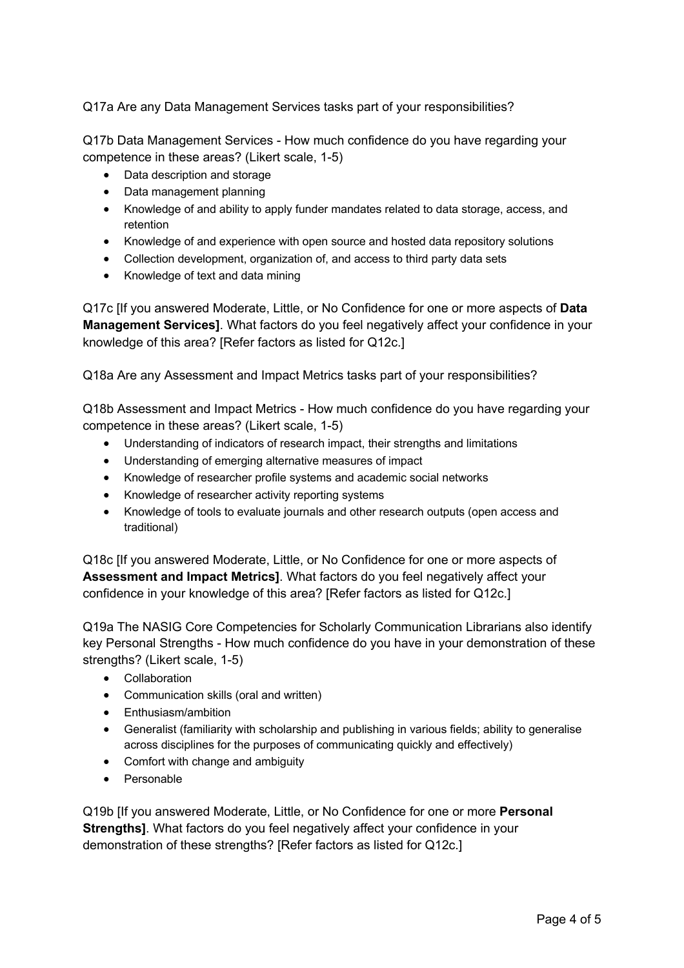Q17a Are any Data Management Services tasks part of your responsibilities?

Q17b Data Management Services - How much confidence do you have regarding your competence in these areas? (Likert scale, 1-5)

- Data description and storage
- Data management planning
- Knowledge of and ability to apply funder mandates related to data storage, access, and retention
- Knowledge of and experience with open source and hosted data repository solutions
- Collection development, organization of, and access to third party data sets
- Knowledge of text and data mining

Q17c [If you answered Moderate, Little, or No Confidence for one or more aspects of **Data Management Services]**. What factors do you feel negatively affect your confidence in your knowledge of this area? [Refer factors as listed for Q12c.]

Q18a Are any Assessment and Impact Metrics tasks part of your responsibilities?

Q18b Assessment and Impact Metrics - How much confidence do you have regarding your competence in these areas? (Likert scale, 1-5)

- Understanding of indicators of research impact, their strengths and limitations
- Understanding of emerging alternative measures of impact
- Knowledge of researcher profile systems and academic social networks
- Knowledge of researcher activity reporting systems
- Knowledge of tools to evaluate journals and other research outputs (open access and traditional)

Q18c [If you answered Moderate, Little, or No Confidence for one or more aspects of **Assessment and Impact Metrics]**. What factors do you feel negatively affect your confidence in your knowledge of this area? [Refer factors as listed for Q12c.]

Q19a The NASIG Core Competencies for Scholarly Communication Librarians also identify key Personal Strengths - How much confidence do you have in your demonstration of these strengths? (Likert scale, 1-5)

- Collaboration
- Communication skills (oral and written)
- Enthusiasm/ambition
- Generalist (familiarity with scholarship and publishing in various fields; ability to generalise across disciplines for the purposes of communicating quickly and effectively)
- Comfort with change and ambiguity
- Personable

Q19b [If you answered Moderate, Little, or No Confidence for one or more **Personal Strengths]**. What factors do you feel negatively affect your confidence in your demonstration of these strengths? [Refer factors as listed for Q12c.]